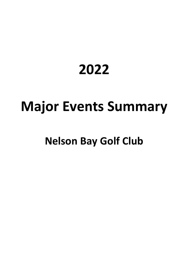## **2022**

# **Major Events Summary**

## **Nelson Bay Golf Club**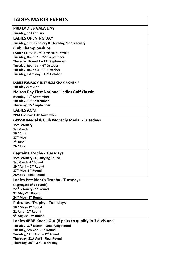| <b>LADIES MAJOR EVENTS</b>                                                        |
|-----------------------------------------------------------------------------------|
| <b>PRD LADIES GALA DAY</b>                                                        |
| Tuesday, 1 <sup>st</sup> February                                                 |
| <b>LADIES OPENING DAY</b>                                                         |
| Tuesday, 15th February & Thursday, 17th February                                  |
| <b>Club Championships</b>                                                         |
| <b>LADIES CLUB CHAMPIONSHIPS - Stroke</b>                                         |
| Tuesday, Round $1 - 27$ <sup>th</sup> September                                   |
| Thursday, Round 2 - 29 <sup>th</sup> September                                    |
| Tuesday, Round $3 - 4$ <sup>th</sup> October                                      |
| Tuesday, Round 4 - 11 <sup>th</sup> October                                       |
| Tuesday, extra day - 18 <sup>th</sup> October                                     |
|                                                                                   |
| LADIES FOURSOMES 27 HOLE CHAMPIONSHIP                                             |
| <b>Tuesday 26th April</b>                                                         |
| <b>Nelson Bay First National Ladies Golf Classic</b>                              |
| Monday, 12 <sup>th</sup> September                                                |
| Tuesday, 13 <sup>st</sup> September                                               |
| Thursday, 15rd September                                                          |
| <b>LADIES AGM</b>                                                                 |
| 2PM Tuesday, 15th November                                                        |
| <b>GNSW Medal &amp; Club Monthly Medal - Tuesdays</b>                             |
| 15 <sup>th</sup> February                                                         |
| <b>1st March</b>                                                                  |
| 19 <sup>th</sup> April                                                            |
| $17th$ May                                                                        |
| $7th$ June                                                                        |
| 26 <sup>th</sup> July                                                             |
| <b>Captains Trophy - Tuesdays</b>                                                 |
|                                                                                   |
| 15 <sup>th</sup> February - Qualifying Round<br>1st March - 1 <sup>st</sup> Round |
| 19th April - 2nd Round                                                            |
| 17th May- 3rd Round                                                               |
| 26th July - Final Round                                                           |
| <b>Ladies President's Trophy - Tuesdays</b>                                       |
| (Aggregate of 3 rounds)                                                           |
| 22 <sup>rd</sup> February - 1 <sup>st</sup> Round                                 |
| 3rd May -2nd Round                                                                |
| 24th May - 3rd Round                                                              |
| <b>Patroness Trophy - Tuesdays</b>                                                |
| 10 <sup>th</sup> May-1 <sup>st</sup> Round                                        |
| 21 June - 2 <sup>nd</sup> Round                                                   |
| 9 <sup>th</sup> August - 3 <sup>rd</sup> Round                                    |
| Ladies 4BBB Knock Out (8 pairs to qualify in 3 divisions)                         |
| Tuesday, 29 <sup>th</sup> March - Qualifying Round                                |
| Tuesday, 5th April - 1 <sup>st</sup> Round                                        |
| Tuesday, 12th April - 2 <sup>nd</sup> Round                                       |
| Thursday, 21st April - Final Round                                                |
| Thursday, 28 <sup>th</sup> April-extra day                                        |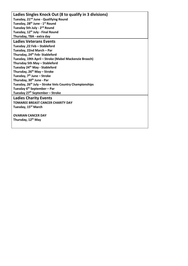**Ladies Singles Knock Out (8 to qualify in 3 divisions) Tuesday, 21nd June - Qualifying Round Tuesday, 28th June - 1st Round Tuesday 5th July - 2nd Round Tuesday, 12th July - Final Round Thursday, TBA - extra day Ladies Veterans Events Tuesday ,22 Feb – Stableford Tuesday, 22nd March – Par Thursday, 24th Feb- Stableford Tuesday, 19th April – Stroke (Mabel Mackenzie Brooch) Thursday 5th May – Stableford Tuesday 24th May - Stableford Thursday, 26th May – Stroke Tuesday, 7th June – Stroke Thursday, 30th June - Par Tuesday, 26th July – Stroke Vets Country Championships Tuesday 6th September – Par Tuesday 27th September – Stroke Ladies Charity Events TOMAREE BREAST CANCER CHARITY DAY Tuesday, 15rd March OVARIAN CANCER DAY Thursday, 12th May**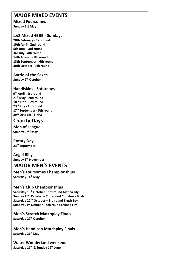## **MAJOR MIXED EVENTS**

#### **Mixed Foursomes Sunday 1st May**

#### **L&Z Mixed 4BBB - Sundays**

**20th February - 1st round 10th April - 2nd round 5th June - 3rd round 3rd July - 4th round 14th August - 5th round 18th September - 6th round 30th October - 7th round**

#### **Battle of the Sexes**

**Sunday 9th October**

#### **Handiskins - Saturdays**

**9th April - 1st round 21st May - 2nd round 18th June - 3rd round 23rd July - 4th round 17th September - 5th round 29th October - FINAL**

### **Charity Days**

**Men of League Sunday 22nd May**

**Rotary Day 23rd September**

**Angel Billy Sunday 6th November**

## **MAJOR MEN'S EVENTS**

**Men's Foursomes Championships Saturday 14th May**

#### **Men's Club Championships**

**Saturday 15th October – 1st round Gymea Lily Sunday 16th October – 2nd round Christmas Bush Saturday 22nd October – 3rd round Brush Box Sunday 23rd October – 4th round Gymea Lily**

**Men's Scratch Matchplay Finals Saturday 29th October**

**Men's Handicap Matchplay Finals Saturday 21st May**

**Water Wonderland weekend Saturday 11th & Sunday 12th June**